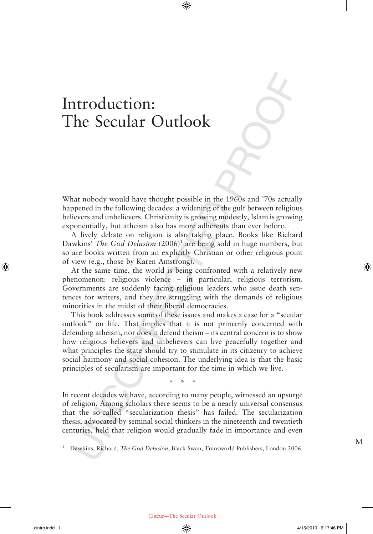What nobody would have thought possible in the 1960s and '70s actually happened in the following decades: a widening of the gulf between religious believers and unbelievers. Christianity is growing modestly, Islam is growing exponentially, but atheism also has more adherents than ever before.

 $\bm \Theta$ 

A lively debate on religion is also taking place. Books like Richard Dawkins' *The God Delusion* (2006)<sup>1</sup> are being sold in huge numbers, but so are books written from an explicitly Christian or other religious point of view (e.g., those by Karen Amstrong).

At the same time, the world is being confronted with a relatively new phenomenon: religious violence – in particular, religious terrorism. Governments are suddenly facing religious leaders who issue death sentences for writers, and they are struggling with the demands of religious minorities in the midst of their liberal democracies.

This book addresses some of these issues and makes a case for a "secular outlook" on life. That implies that it is not primarily concerned with defending atheism, nor does it defend theism – its central concern is to show how religious believers and unbelievers can live peacefully together and what principles the state should try to stimulate in its citizenry to achieve social harmony and social cohesion. The underlying idea is that the basic principles of secularism are important for the time in which we live.

\* \* \*

In recent decades we have, according to many people, witnessed an upsurge of religion. Among scholars there seems to be a nearly universal consensus that the so-called "secularization thesis" has failed. The secularization thesis, advocated by seminal social thinkers in the nineteenth and twentieth centuries, held that religion would gradually fade in importance and even

<sup>1</sup> Dawkins, Richard, *The God Delusion*, Black Swan, Transworld Publishers, London 2006.

⊕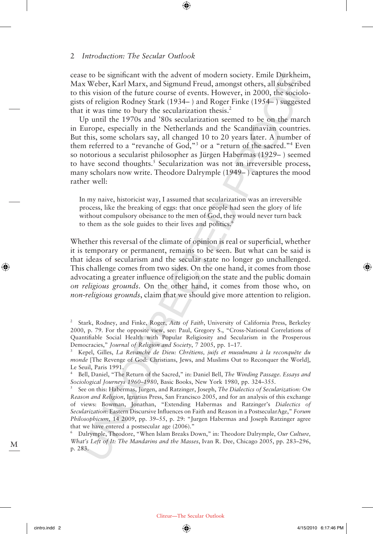cease to be significant with the advent of modern society. Emile Durkheim, Max Weber, Karl Marx, and Sigmund Freud, amongst others, all subscribed to this vision of the future course of events. However, in 2000, the sociologists of religion Rodney Stark (1934– ) and Roger Finke (1954– ) suggested that it was time to bury the secularization thesis.<sup>2</sup>

 $\bm \Theta$ 

Up until the 1970s and '80s secularization seemed to be on the march in Europe, especially in the Netherlands and the Scandinavian countries. But this, some scholars say, all changed 10 to 20 years later. A number of them referred to a "revanche of God,"<sup>3</sup> or a "return of the sacred."<sup>4</sup> Even so notorious a secularist philosopher as Jürgen Habermas (1929– ) seemed to have second thoughts.<sup>5</sup> Secularization was not an irreversible process, many scholars now write. Theodore Dalrymple (1949– ) captures the mood rather well:

In my naive, historicist way, I assumed that secularization was an irreversible process, like the breaking of eggs: that once people had seen the glory of life without compulsory obeisance to the men of God, they would never turn back to them as the sole guides to their lives and politics.<sup>6</sup>

Whether this reversal of the climate of opinion is real or superficial, whether it is temporary or permanent, remains to be seen. But what can be said is that ideas of secularism and the secular state no longer go unchallenged. This challenge comes from two sides. On the one hand, it comes from those advocating a greater influence of religion on the state and the public domain *on religious grounds*. On the other hand, it comes from those who, on *non-religious grounds*, claim that we should give more attention to religion.

<sup>6</sup> Dalrymple, Theodore, "When Islam Breaks Down," in: Theodore Dalrymple, *Our Culture, What's Left of It: The Mandarins and the Masses*, Ivan R. Dee, Chicago 2005, pp. 283–296, p. 283.

M

⊕

<sup>2</sup> Stark, Rodney, and Finke, Roger, *Acts of Faith*, University of California Press, Berkeley 2000, p. 79. For the opposite view, see: Paul, Gregory S., "Cross-National Correlations of Quantifiable Social Health with Popular Religiosity and Secularism in the Prosperous Democracies," *Journal of Religion and Society*, 7 2005, pp. 1–17.

<sup>3</sup> Kepel, Gilles, *La Revanche de Dieu: Chrétiens, juifs et musulmans à la reconquête du monde* [The Revenge of God: Christians, Jews, and Muslims Out to Reconquer the World], Le Seuil, Paris 1991.

<sup>4</sup> Bell, Daniel, "The Return of the Sacred," in: Daniel Bell, *The Winding Passage. Essays and Sociological Journeys 1960–1980*, Basic Books, New York 1980, pp. 324–355.

<sup>5</sup> See on this: Habermas, Jürgen, and Ratzinger, Joseph, *The Dialectics of Secularization: On Reason and Religion*, Ignatius Press, San Francisco 2005, and for an analysis of this exchange of views: Bowman, Jonathan, "Extending Habermas and Ratzinger's *Dialectics of Secularization*: Eastern Discursive Influences on Faith and Reason in a PostsecularAge," *Forum Philosophicum*, 14 2009, pp. 39–55, p. 29: "Jurgen Habermas and Joseph Ratzinger agree that we have entered a postsecular age (2006)."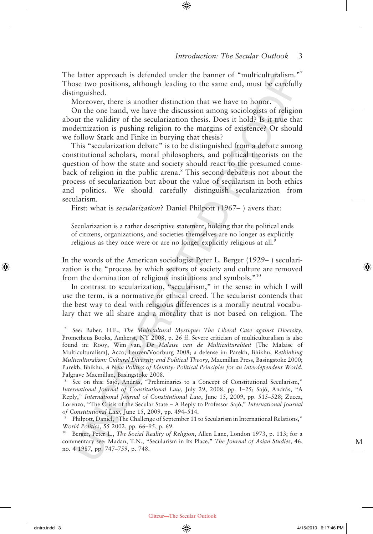The latter approach is defended under the banner of "multiculturalism."<sup>7</sup> Those two positions, although leading to the same end, must be carefully distinguished.

 $\bm \Theta$ 

Moreover, there is another distinction that we have to honor.

On the one hand, we have the discussion among sociologists of religion about the validity of the secularization thesis. Does it hold? Is it true that modernization is pushing religion to the margins of existence? Or should we follow Stark and Finke in burying that thesis?

This "secularization debate" is to be distinguished from a debate among constitutional scholars, moral philosophers, and political theorists on the question of how the state and society should react to the presumed comeback of religion in the public arena.<sup>8</sup> This second debate is not about the process of secularization but about the value of secularism in both ethics and politics. We should carefully distinguish secularization from secularism.

First: what is *secularization*? Daniel Philpott (1967– ) avers that:

Secularization is a rather descriptive statement, holding that the political ends of citizens, organizations, and societies themselves are no longer as explicitly religious as they once were or are no longer explicitly religious at all.<sup>9</sup>

In the words of the American sociologist Peter L. Berger (1929– ) secularization is the "process by which sectors of society and culture are removed from the domination of religious institutions and symbols."10

In contrast to secularization, "secularism," in the sense in which I will use the term, is a normative or ethical creed. The secularist contends that the best way to deal with religious differences is a morally neutral vocabulary that we all share and a morality that is not based on religion. The

<sup>7</sup> See: Baber, H.E., *The Multicultural Mystique: The Liberal Case against Diversity*, Prometheus Books, Amherst, NY 2008, p. 26 ff. Severe criticism of multiculturalism is also found in: Rooy, Wim van, *De Malaise van de Multiculturaliteit* [The Malaise of Multiculturalism], Acco, Leuven/Voorburg 2008; a defense in: Parekh, Bhikhu, *Rethinking Multiculturalism: Cultural Diversity and Political Theory*, Macmillan Press, Basingstoke 2000; Parekh, Bhikhu, *A New Politics of Identity: Political Principles for an Interdependent World*, Palgrave Macmillan, Basingstoke 2008.

<sup>8</sup> See on this: Sajó, András, "Preliminaries to a Concept of Constitutional Secularism," *International Journal of Constitutional Law*, July 29, 2008, pp. 1–25; Sajó, András, "A Reply," *International Journal of Constitutional Law*, June 15, 2009, pp. 515–528; Zucca, Lorenzo, "The Crisis of the Secular State – A Reply to Professor Sajó," *International Journal of Constitutional Law*, June 15, 2009, pp. 494–514.

<sup>9</sup> Philpott, Daniel, "The Challenge of September 11 to Secularism in International Relations," *World Politics*, 55 2002, pp. 66–95, p. 69.

<sup>10</sup> Berger, Peter L., *The Social Reality of Religion*, Allen Lane, London 1973, p. 113; for a commentary see: Madan, T.N., "Secularism in Its Place," *The Journal of Asian Studies*, 46, no. 4 1987, pp. 747–759, p. 748.

M

⊕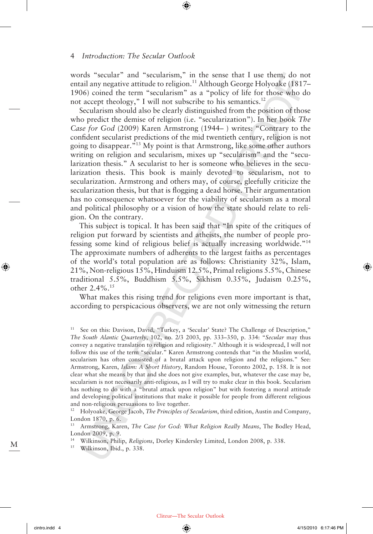words "secular" and "secularism," in the sense that I use them, do not entail any negative attitude to religion.<sup>11</sup> Although George Holyoake (1817– 1906) coined the term "secularism" as a "policy of life for those who do not accept theology," I will not subscribe to his semantics.<sup>12</sup>

⊕

Secularism should also be clearly distinguished from the position of those who predict the demise of religion (i.e. "secularization"). In her book *The Case for God* (2009) Karen Armstrong (1944– ) writes: "Contrary to the confident secularist predictions of the mid twentieth century, religion is not going to disappear."13 My point is that Armstrong, like some other authors writing on religion and secularism, mixes up "secularism" and the "secularization thesis." A secularist to her is someone who believes in the secularization thesis. This book is mainly devoted to secularism, not to secularization. Armstrong and others may, of course, gleefully criticize the secularization thesis, but that is flogging a dead horse. Their argumentation has no consequence whatsoever for the viability of secularism as a moral and political philosophy or a vision of how the state should relate to religion. On the contrary.

This subject is topical. It has been said that "In spite of the critiques of religion put forward by scientists and atheists, the number of people professing some kind of religious belief is actually increasing worldwide."14 The approximate numbers of adherents to the largest faiths as percentages of the world's total population are as follows: Christianity 32%, Islam, 21%, Non-religious 15%, Hinduism 12.5%, Primal religions 5.5%, Chinese traditional 5.5%, Buddhism 5.5%, Sikhism 0.35%, Judaism 0.25%, other 2.4%.15

What makes this rising trend for religions even more important is that, according to perspicacious observers, we are not only witnessing the return

M

<sup>&</sup>lt;sup>11</sup> See on this: Davison, David, "Turkey, a 'Secular' State? The Challenge of Description," *The South Alantic Quarterly*, 102, no. 2/3 2003, pp. 333–350, p. 334: "*Secular* may thus convey a negative translation to religion and religiosity." Although it is widespread, I will not follow this use of the term "secular." Karen Armstrong contends that "in the Muslim world, secularism has often consisted of a brutal attack upon religion and the religions." See: Armstrong, Karen, *Islam: A Short History*, Random House, Toronto 2002, p. 158. It is not clear what she means by that and she does not give examples, but, whatever the case may be, secularism is not necessarily anti-religious, as I will try to make clear in this book. Secularism has nothing to do with a "brutal attack upon religion" but with fostering a moral attitude and developing political institutions that make it possible for people from different religious and non-religious persuasions to live together.

<sup>12</sup> Holyoake, George Jacob, *The Principles of Secularism*, third edition, Austin and Company, London 1870, p. 6.

<sup>13</sup> Armstrong, Karen, *The Case for God: What Religion Really Means*, The Bodley Head, London 2009, p. 9.

<sup>14</sup> Wilkinson, Philip, *Religions*, Dorley Kindersley Limited, London 2008, p. 338.

<sup>15</sup> Wilkinson, Ibid., p. 338.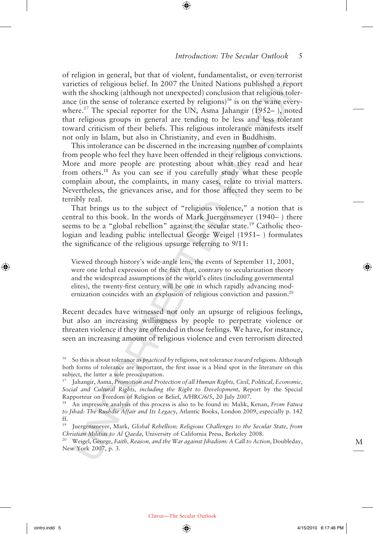of religion in general, but that of violent, fundamentalist, or even terrorist varieties of religious belief. In 2007 the United Nations published a report with the shocking (although not unexpected) conclusion that religious tolerance (in the sense of tolerance exerted by religions)<sup>16</sup> is on the wane everywhere.<sup>17</sup> The special reporter for the UN, Asma Jahangir (1952– ), noted that religious groups in general are tending to be less and less tolerant toward criticism of their beliefs. This religious intolerance manifests itself not only in Islam, but also in Christianity, and even in Buddhism.

⊕

This intolerance can be discerned in the increasing number of complaints from people who feel they have been offended in their religious convictions. More and more people are protesting about what they read and hear from others.18 As you can see if you carefully study what these people complain about, the complaints, in many cases, relate to trivial matters. Nevertheless, the grievances arise, and for those affected they seem to be terribly real.

That brings us to the subject of "religious violence," a notion that is central to this book. In the words of Mark Juergensmeyer (1940– ) there seems to be a "global rebellion" against the secular state.<sup>19</sup> Catholic theologian and leading public intellectual George Weigel (1951– ) formulates the significance of the religious upsurge referring to 9/11:

Viewed through history's wide-angle lens, the events of September 11, 2001, were one lethal expression of the fact that, contrary to secularization theory and the widespread assumptions of the world's elites (including governmental elites), the twenty-first century will be one in which rapidly advancing modernization coincides with an explosion of religious conviction and passion.<sup>20</sup>

Recent decades have witnessed not only an upsurge of religious feelings, but also an increasing willingness by people to perpetrate violence or threaten violence if they are offended in those feelings. We have, for instance, seen an increasing amount of religious violence and even terrorism directed

M

⊕

<sup>16</sup> So this is about tolerance as *practiced by* religions, not tolerance *toward* religions. Although both forms of tolerance are important, the first issue is a blind spot in the literature on this subject, the latter a sole preoccupation.

<sup>17</sup> Jahangir, Asma, *Promotion and Protection of all Human Rights, Civil, Political, Economic, Social and Cultural Rights, including the Right to Development*, Report by the Special Rapporteur on Freedom of Religion or Belief, A/HRC/6/5, 20 July 2007.

<sup>18</sup> An impressive analysis of this process is also to be found in: Malik, Kenan, *From Fatwa to Jihad: The Rushdie Affair and Its Legacy*, Atlantic Books, London 2009, especially p. 142 ff.

<sup>19</sup> Juergensmeyer, Mark, *Global Rebellion: Religious Challenges to the Secular State, from Christian Militias to Al Qaeda*, University of California Press, Berkeley 2008.

<sup>&</sup>lt;sup>20</sup> Weigel, George, *Faith, Reason, and the War against Jihadism: A Call to Action*, Doubleday, New York 2007, p. 3.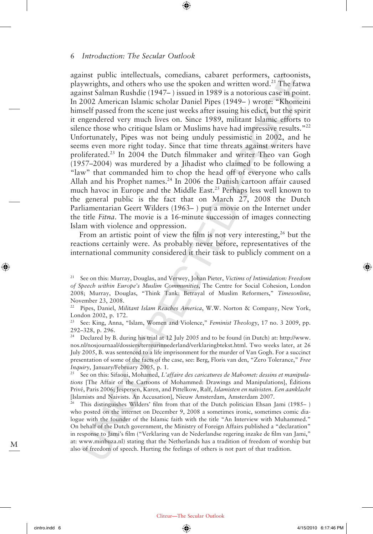against public intellectuals, comedians, cabaret performers, cartoonists, playwrights, and others who use the spoken and written word.<sup>21</sup> The fatwa against Salman Rushdie (1947– ) issued in 1989 is a notorious case in point. In 2002 American Islamic scholar Daniel Pipes (1949– ) wrote: "Khomeini himself passed from the scene just weeks after issuing his edict, but the spirit it engendered very much lives on. Since 1989, militant Islamic efforts to silence those who critique Islam or Muslims have had impressive results."<sup>22</sup> Unfortunately, Pipes was not being unduly pessimistic in 2002, and he seems even more right today. Since that time threats against writers have proliferated.23 In 2004 the Dutch filmmaker and writer Theo van Gogh (1957–2004) was murdered by a Jihadist who claimed to be following a "law" that commanded him to chop the head off of everyone who calls Allah and his Prophet names.<sup>24</sup> In 2006 the Danish cartoon affair caused much havoc in Europe and the Middle East.<sup>25</sup> Perhaps less well known to the general public is the fact that on March 27, 2008 the Dutch Parliamentarian Geert Wilders (1963– ) put a movie on the Internet under the title *Fitna*. The movie is a 16-minute succession of images connecting Islam with violence and oppression.

⊕

From an artistic point of view the film is not very interesting, $26$  but the reactions certainly were. As probably never before, representatives of the international community considered it their task to publicly comment on a

<sup>22</sup> Pipes, Daniel, *Militant Islam Reaches America*, W.W. Norton & Company, New York, London 2002, p. 172.

<sup>23</sup> See: King, Anna, "Islam, Women and Violence," *Feminist Theology*, 17 no. 3 2009, pp. 292–328, p. 296.<br><sup>24</sup> Declared by B

<sup>24</sup> Declared by B. during his trial at 12 July 2005 and to be found (in Dutch) at: http://www. nos.nl/nosjournaal/dossiers/terreurinnederland/verklaringbtekst.html. Two weeks later, at 26 July 2005, B. was sentenced to a life imprisonment for the murder of Van Gogh. For a succinct presentation of some of the facts of the case, see: Berg, Floris van den, "Zero Tolerance," *Free Inquiry*, January/February 2005, p. 1.

<sup>25</sup> See on this: Sifaoui, Mohamed, *L'affaire des caricatures de Mahomet: dessins et manipulations* [The Affair of the Cartoons of Mohammed: Drawings and Manipulations], Éditions Privé, Paris 2006; Jespersen, Karen, and Pittelkow, Ralf, *Islamisten en naïvisten. Een aanklacht* [Islamists and Naivists. An Accusation], Nieuw Amsterdam, Amsterdam 2007.

<sup>26</sup> This distinguishes Wilders' film from that of the Dutch politician Ehsan Jami (1985– ) who posted on the internet on December 9, 2008 a sometimes ironic, sometimes comic dialogue with the founder of the Islamic faith with the title "An Interview with Muhammed." On behalf of the Dutch government, the Ministry of Foreign Affairs published a "declaration" in response to Jami's film ("Verklaring van de Nederlandse regering inzake de film van Jami," at: www.minbuza.nl) stating that the Netherlands has a tradition of freedom of worship but also of freedom of speech. Hurting the feelings of others is not part of that tradition.

⊕

<sup>21</sup> See on this: Murray, Douglas, and Verwey, Johan Pieter, *Victims of Intimidation: Freedom of Speech within Europe's Muslim Communities*, The Centre for Social Cohesion, London 2008; Murray, Douglas, "Think Tank: Betrayal of Muslim Reformers," *Timesonline*, November 23, 2008.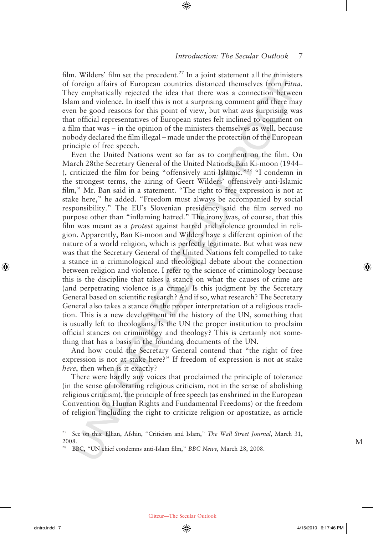film. Wilders' film set the precedent.<sup>27</sup> In a joint statement all the ministers of foreign affairs of European countries distanced themselves from *Fitna*. They emphatically rejected the idea that there was a connection between Islam and violence. In itself this is not a surprising comment and there may even be good reasons for this point of view, but what *was* surprising was that official representatives of European states felt inclined to comment on a film that was – in the opinion of the ministers themselves as well, because nobody declared the film illegal – made under the protection of the European principle of free speech.

 $\bigcirc$ 

Even the United Nations went so far as to comment on the film. On March 28the Secretary General of the United Nations, Ban Ki-moon (1944– ), criticized the film for being "offensively anti-Islamic."28 "I condemn in the strongest terms, the airing of Geert Wilders' offensively anti-Islamic film," Mr. Ban said in a statement. "The right to free expression is not at stake here," he added. "Freedom must always be accompanied by social responsibility." The EU's Slovenian presidency said the film served no purpose other than "inflaming hatred." The irony was, of course, that this film was meant as a *protest* against hatred and violence grounded in religion. Apparently, Ban Ki-moon and Wilders have a different opinion of the nature of a world religion, which is perfectly legitimate. But what was new was that the Secretary General of the United Nations felt compelled to take a stance in a criminological and theological debate about the connection between religion and violence. I refer to the science of criminology because this is the discipline that takes a stance on what the causes of crime are (and perpetrating violence is a crime). Is this judgment by the Secretary General based on scientific research? And if so, what research? The Secretary General also takes a stance on the proper interpretation of a religious tradition. This is a new development in the history of the UN, something that is usually left to theologians. Is the UN the proper institution to proclaim official stances on criminology and theology? This is certainly not something that has a basis in the founding documents of the UN.

And how could the Secretary General contend that "the right of free expression is not at stake here?" If freedom of expression is not at stake *here*, then when is it exactly?

There were hardly any voices that proclaimed the principle of tolerance (in the sense of tolerating religious criticism, not in the sense of abolishing religious criticism), the principle of free speech (as enshrined in the European Convention on Human Rights and Fundamental Freedoms) or the freedom of religion (including the right to criticize religion or apostatize, as article

M

⊕

<sup>27</sup> See on this: Ellian, Afshin, "Criticism and Islam," *The Wall Street Journal*, March 31, 2008.

<sup>28</sup> BBC, "UN chief condemns anti-Islam film," *BBC News*, March 28, 2008.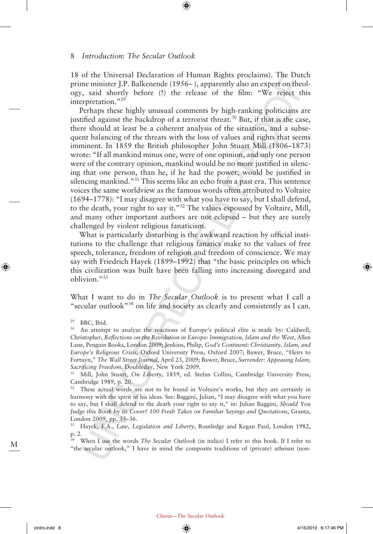18 of the Universal Declaration of Human Rights proclaims). The Dutch prime minister J.P. Balkenende (1956– ), apparently also an expert on theology, said shortly before (!) the release of the film: "We reject this interpretation."<sup>29</sup>

⊕

Perhaps these highly unusual comments by high-ranking politicians are justified against the backdrop of a terrorist threat.<sup>30</sup> But, if that is the case, there should at least be a coherent analysis of the situation, and a subsequent balancing of the threats with the loss of values and rights that seems imminent. In 1859 the British philosopher John Stuart Mill (1806–1873) wrote: "If all mankind minus one, were of one opinion, and only one person were of the contrary opinion, mankind would be no more justified in silencing that one person, than he, if he had the power, would be justified in silencing mankind."<sup>31</sup> This seems like an echo from a past era. This sentence voices the same worldview as the famous words often attributed to Voltaire (1694–1778): "I may disagree with what you have to say, but I shall defend, to the death, your right to say it."32 The values espoused by Voltaire, Mill, and many other important authors are not eclipsed – but they are surely challenged by violent religious fanaticism.

What is particularly disturbing is the awkward reaction by official institutions to the challenge that religious fanatics make to the values of free speech, tolerance, freedom of religion and freedom of conscience. We may say with Friedrich Hayek (1899–1992) that "the basic principles on which this civilization was built have been falling into increasing disregard and oblivion."<sup>33</sup>

What I want to do in *The Secular Outlook* is to present what I call a "secular outlook"34 on life and society as clearly and consistently as I can.

<sup>30</sup> An attempt to analyze the reactions of Europe's political elite is made by: Caldwell, Christopher, *Reflections on the Revolution in Europe: Immigration, Islam and the West*, Allen Lane, Penguin Books, London 2009; Jenkins, Philip, *God's Continent: Christianity, Islam, and Europe's Religious Crisis*, Oxford University Press, Oxford 2007; Bawer, Bruce, "Heirs to Fortuyn," *The Wall Street Journal*, April 23, 2009; Bawer, Bruce, *Surrender: Appeasing Islam, Sacrificing Freedom*, Doubleday, New York 2009.

<sup>31</sup> Mill, John Stuart, *On Liberty*, 1859, ed. Stefan Collini, Cambridge University Press, Cambridge 1989, p. 20.

<sup>32</sup> These actual words are not to be found in Voltaire's works, but they are certainly in harmony with the spirit of his ideas. See: Baggini, Julian, "I may disagree with what you have to say, but I shall defend to the death your right to say it," in: Julian Baggini, *Should You Judge this Book by its Cover? 100 Fresh Takes on Familiar Sayings and Quotations*, Granta, London 2009, pp. 35–36.

<sup>33</sup> Hayek, F.A., *Law, Legislation and Liberty*, Routledge and Kegan Paul, London 1982, p. 2.

<sup>34</sup> When I use the words *The Secular Outlook* (in italics) I refer to this book. If I refer to "the secular outlook," I have in mind the composite traditions of (private) atheism (non-

M

⊕

<sup>29</sup> BBC, Ibid.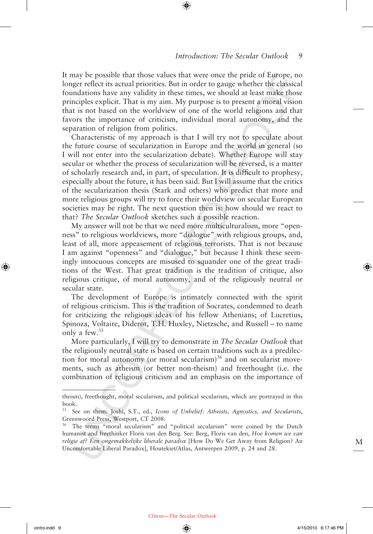It may be possible that those values that were once the pride of Europe, no longer reflect its actual priorities. But in order to gauge whether the classical foundations have any validity in these times, we should at least make those principles explicit. That is my aim. My purpose is to present a moral vision that is not based on the worldview of one of the world religions and that favors the importance of criticism, individual moral autonomy, and the separation of religion from politics.

⊕

Characteristic of my approach is that I will try not to speculate about the future course of secularization in Europe and the world in general (so I will not enter into the secularization debate). Whether Europe will stay secular or whether the process of secularization will be reversed, is a matter of scholarly research and, in part, of speculation. It is difficult to prophesy, especially about the future, it has been said. But I will assume that the critics of the secularization thesis (Stark and others) who predict that more and more religious groups will try to force their worldview on secular European societies may be right. The next question then is: how should we react to that? *The Secular Outlook* sketches such a possible reaction.

My answer will not be that we need more multiculturalism, more "openness" to religious worldviews, more "dialogue" with religious groups, and, least of all, more appeasement of religious terrorists. That is not because I am against "openness" and "dialogue," but because I think these seemingly innocuous concepts are misused to squander one of the great traditions of the West. That great tradition is the tradition of critique, also religious critique, of moral autonomy, and of the religiously neutral or secular state.

The development of Europe is intimately connected with the spirit of religious criticism. This is the tradition of Socrates, condemned to death for criticizing the religious ideas of his fellow Athenians; of Lucretius, Spinoza, Voltaire, Diderot, T.H. Huxley, Nietzsche, and Russell – to name only a few.35

More particularly, I will try to demonstrate in *The Secular Outlook* that the religiously neutral state is based on certain traditions such as a predilection for moral autonomy (or moral secularism)<sup>36</sup> and on secularist movements, such as atheism (or better non-theism) and freethought (i.e. the combination of religious criticism and an emphasis on the importance of ⊕

theism), freethought, moral secularism, and political secularism, which are portrayed in this book.

<sup>35</sup> See on them: Joshi, S.T., ed., *Icons of Unbelief: Atheists, Agnostics, and Secularists*, Greenwoord Press, Westport, CT 2008.

<sup>36</sup> The terms "moral secularism" and "political secularism" were coined by the Dutch humanist and freethinker Floris van den Berg. See: Berg, Floris van den, *Hoe komen we van religie af? Een ongemakkelijke liberale paradox* [How Do We Get Away from Religion? An Uncomfortable Liberal Paradox], Houtekiet/Atlas, Antwerpen 2009, p. 24 and 28.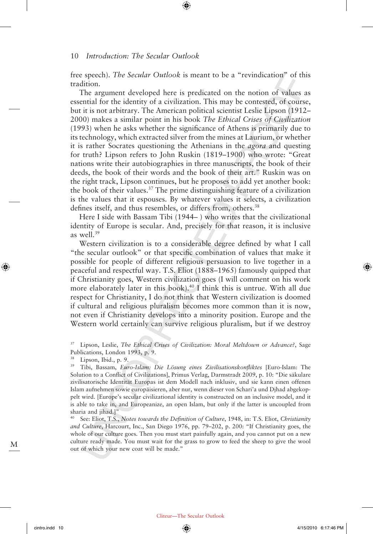free speech). *The Secular Outlook* is meant to be a "revindication" of this tradition.

⊕

The argument developed here is predicated on the notion of values as essential for the identity of a civilization. This may be contested, of course, but it is not arbitrary. The American political scientist Leslie Lipson (1912– 2000) makes a similar point in his book *The Ethical Crises of Civilization* (1993) when he asks whether the significance of Athens is primarily due to its technology, which extracted silver from the mines at Laurium, or whether it is rather Socrates questioning the Athenians in the *agora* and questing for truth? Lipson refers to John Ruskin (1819–1900) who wrote: "Great nations write their autobiographies in three manuscripts, the book of their deeds, the book of their words and the book of their art." Ruskin was on the right track, Lipson continues, but he proposes to add yet another book: the book of their values.<sup>37</sup> The prime distinguishing feature of a civilization is the values that it espouses. By whatever values it selects, a civilization defines itself, and thus resembles, or differs from, others.<sup>38</sup>

Here I side with Bassam Tibi (1944– ) who writes that the civilizational identity of Europe is secular. And, precisely for that reason, it is inclusive as well.<sup>39</sup>

Western civilization is to a considerable degree defined by what I call "the secular outlook" or that specific combination of values that make it possible for people of different religious persuasion to live together in a peaceful and respectful way. T.S. Eliot (1888–1965) famously quipped that if Christianity goes, Western civilization goes (I will comment on his work more elaborately later in this book).40 I think this is untrue. With all due respect for Christianity, I do not think that Western civilization is doomed if cultural and religious pluralism becomes more common than it is now, not even if Christianity develops into a minority position. Europe and the Western world certainly can survive religious pluralism, but if we destroy

<sup>40</sup> See: Eliot, T.S., *Notes towards the Definition of Culture*, 1948, in: T.S. Eliot, *Christianity and Culture*, Harcourt, Inc., San Diego 1976, pp. 79–202, p. 200: "If Christianity goes, the whole of our culture goes. Then you must start painfully again, and you cannot put on a new culture ready made. You must wait for the grass to grow to feed the sheep to give the wool out of which your new coat will be made."

<sup>37</sup> Lipson, Leslie, *The Ethical Crises of Civilization: Moral Meltdown or Advance?*, Sage Publications, London 1993, p. 9.

 $\frac{38}{39}$  Lipson, Ibid., p. 9.

<sup>39</sup> Tibi, Bassam, *Euro-Islam: Die Lösung eines Zivilisationskonfliktes* [Euro-Islam: The Solution to a Conflict of Civilizations], Primus Verlag, Darmstradt 2009, p. 10: "Die säkulare zivilisatorische Identität Europas ist dem Modell nach inklusiv, und sie kann einen offenen Islam aufnehmen sowie europäisieren, aber nur, wenn dieser von Schari'a und Djhad abgekoppelt wird. [Europe's secular civilizational identity is constructed on an inclusive model, and it is able to take in, and Europeanize, an open Islam, but only if the latter is uncoupled from sharia and jihad.]"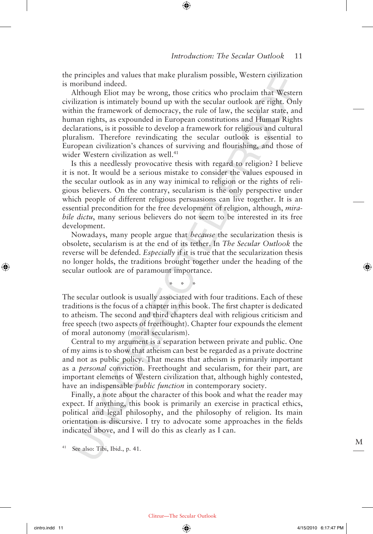the principles and values that make pluralism possible, Western civilization is moribund indeed.

 $\bm \Theta$ 

Although Eliot may be wrong, those critics who proclaim that Western civilization is intimately bound up with the secular outlook are right. Only within the framework of democracy, the rule of law, the secular state, and human rights, as expounded in European constitutions and Human Rights declarations, is it possible to develop a framework for religious and cultural pluralism. Therefore revindicating the secular outlook is essential to European civilization's chances of surviving and flourishing, and those of wider Western civilization as well.<sup>41</sup>

Is this a needlessly provocative thesis with regard to religion? I believe it is not. It would be a serious mistake to consider the values espoused in the secular outlook as in any way inimical to religion or the rights of religious believers. On the contrary, secularism is the only perspective under which people of different religious persuasions can live together. It is an essential precondition for the free development of religion, although, *mirabile dictu*, many serious believers do not seem to be interested in its free development.

Nowadays, many people argue that *because* the secularization thesis is obsolete, secularism is at the end of its tether. In *The Secular Outlook* the reverse will be defended. *Especially* if it is true that the secularization thesis no longer holds, the traditions brought together under the heading of the secular outlook are of paramount importance.

#### \* \* \*

The secular outlook is usually associated with four traditions. Each of these traditions is the focus of a chapter in this book. The first chapter is dedicated to atheism. The second and third chapters deal with religious criticism and free speech (two aspects of freethought). Chapter four expounds the element of moral autonomy (moral secularism).

Central to my argument is a separation between private and public. One of my aims is to show that atheism can best be regarded as a private doctrine and not as public policy. That means that atheism is primarily important as a *personal* conviction. Freethought and secularism, for their part, are important elements of Western civilization that, although highly contested, have an indispensable *public function* in contemporary society.

Finally, a note about the character of this book and what the reader may expect. If anything, this book is primarily an exercise in practical ethics, political and legal philosophy, and the philosophy of religion. Its main orientation is discursive. I try to advocate some approaches in the fields indicated above, and I will do this as clearly as I can.

See also: Tibi, Ibid., p. 41.

⊕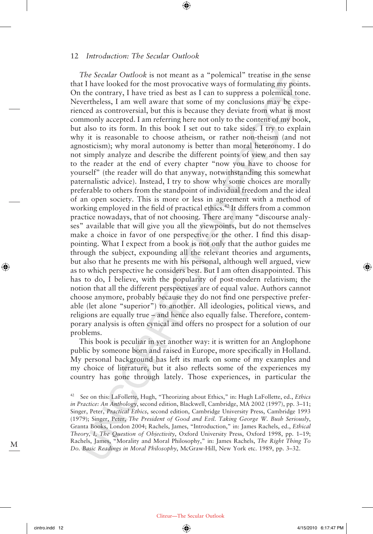*The Secular Outlook* is not meant as a "polemical" treatise in the sense that I have looked for the most provocative ways of formulating my points. On the contrary, I have tried as best as I can to suppress a polemical tone. Nevertheless, I am well aware that some of my conclusions may be experienced as controversial, but this is because they deviate from what is most commonly accepted. I am referring here not only to the content of my book, but also to its form. In this book I set out to take sides. I try to explain why it is reasonable to choose atheism, or rather non-theism (and not agnosticism); why moral autonomy is better than moral heteronomy. I do not simply analyze and describe the different points of view and then say to the reader at the end of every chapter "now you have to choose for yourself" (the reader will do that anyway, notwithstanding this somewhat paternalistic advice). Instead, I try to show why some choices are morally preferable to others from the standpoint of individual freedom and the ideal of an open society. This is more or less in agreement with a method of working employed in the field of practical ethics.<sup>42</sup> It differs from a common practice nowadays, that of not choosing. There are many "discourse analyses" available that will give you all the viewpoints, but do not themselves make a choice in favor of one perspective or the other. I find this disappointing. What I expect from a book is not only that the author guides me through the subject, expounding all the relevant theories and arguments, but also that he presents me with his personal, although well argued, view as to which perspective he considers best. But I am often disappointed. This has to do, I believe, with the popularity of post-modern relativism; the notion that all the different perspectives are of equal value. Authors cannot choose anymore, probably because they do not find one perspective preferable (let alone "superior") to another. All ideologies, political views, and religions are equally true – and hence also equally false. Therefore, contemporary analysis is often cynical and offers no prospect for a solution of our problems.

This book is peculiar in yet another way: it is written for an Anglophone public by someone born and raised in Europe, more specifically in Holland. My personal background has left its mark on some of my examples and my choice of literature, but it also reflects some of the experiences my country has gone through lately. Those experiences, in particular the

<sup>42</sup> See on this: LaFollette, Hugh, "Theorizing about Ethics," in: Hugh LaFollette, ed., *Ethics in Practice: An Anthology*, second edition, Blackwell, Cambridge, MA 2002 (1997), pp. 3–11; Singer, Peter, *Practical Ethics*, second edition, Cambridge University Press, Cambridge 1993 (1979); Singer, Peter, *The President of Good and Evil. Taking George W. Bush Seriously*, Granta Books, London 2004; Rachels, James, "Introduction," in: James Rachels, ed., *Ethical Theory, I, The Question of Objectivity*, Oxford University Press, Oxford 1998, pp. 1–19; Rachels, James, "Morality and Moral Philosophy," in: James Rachels, *The Right Thing To Do. Basic Readings in Moral Philosophy*, McGraw-Hill, New York etc. 1989, pp. 3–32.